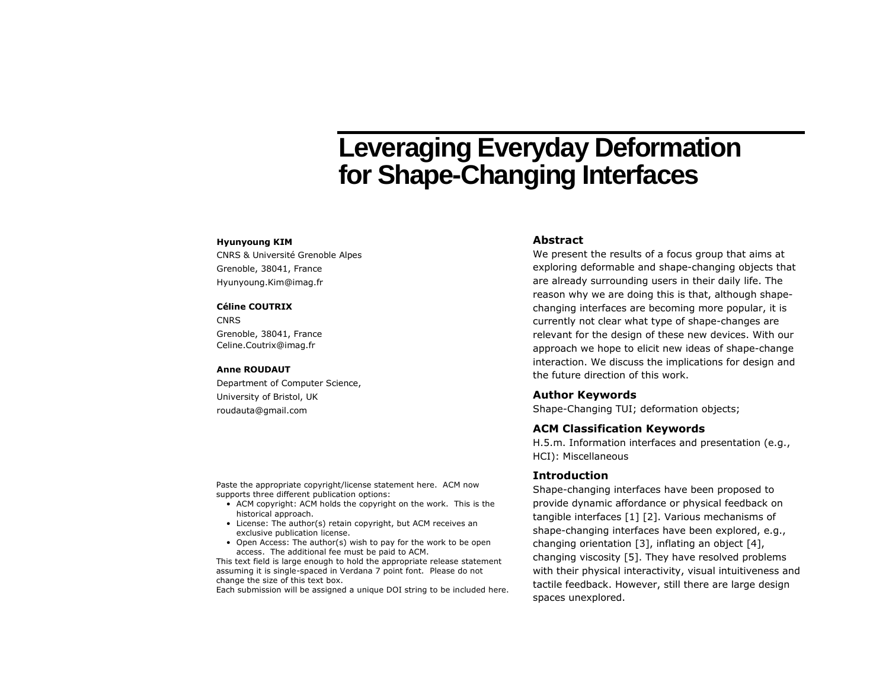# **Leveraging Everyday Deformation for Shape-Changing Interfaces**

#### **Hyunyoung KIM**

CNRS & Université Grenoble Alpes Grenoble, 38041, France Hyunyoung.Kim@imag.fr

#### **Céline COUTRIX**

**CNRS** Grenoble, 38041, France Celine.Coutrix@imag.fr

#### **Anne ROUDAUT**

Department of Computer Science, University of Bristol, UK roudauta@gmail.com

### **Abstract**

We present the results of a focus group that aims at exploring deformable and shape-changing objects that are already surrounding users in their daily life. The reason why we are doing this is that, although shapechanging interfaces are becoming more popular, it is currently not clear what type of shape-changes are relevant for the design of these new devices. With our approach we hope to elicit new ideas of shape-change interaction. We discuss the implications for design and the future direction of this work.

#### **Author Keywords**

Shape-Changing TUI; deformation objects;

### **ACM Classification Keywords**

H.5.m. Information interfaces and presentation (e.g., HCI): Miscellaneous

## **Introduction**

Shape-changing interfaces have been proposed to provide dynamic affordance or physical feedback on tangible interfaces [\[1\]](#page-3-0) [\[2\]](#page-3-1). Various mechanisms of shape-changing interfaces have been explored, e.g., changing orientation [\[3\]](#page-3-2), inflating an object [4], changing viscosity [5]. They have resolved problems with their physical interactivity, visual intuitiveness and tactile feedback. However, still there are large design spaces unexplored.

Paste the appropriate copyright/license statement here. ACM now supports three different publication options:

- ACM copyright: ACM holds the copyright on the work. This is the historical approach.
- License: The author(s) retain copyright, but ACM receives an exclusive publication license.
- Open Access: The author(s) wish to pay for the work to be open access. The additional fee must be paid to ACM.

This text field is large enough to hold the appropriate release statement assuming it is single-spaced in Verdana 7 point font. Please do not change the size of this text box.

Each submission will be assigned a unique DOI string to be included here.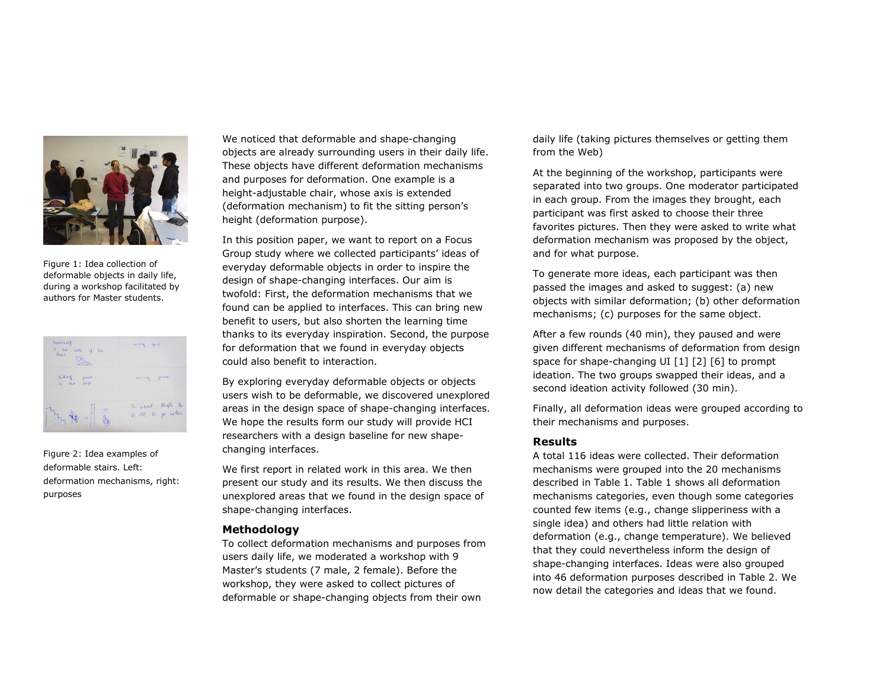

Figure 1: Idea collection of deformable objects in daily life, during a workshop facilitated by authors for Master students.

| hookshelf<br>an the made of the<br>Theory<br>$\frac{1}{16} \frac{1}{\alpha} \frac{1}{\alpha} \frac{1}{\alpha}$ | sassing quiet     |  |
|----------------------------------------------------------------------------------------------------------------|-------------------|--|
| middling<br>plate<br>in the seen<br>$-161$                                                                     | musing peace      |  |
| → 最<br>$\mathbb{Z}^n$                                                                                          | To react thigh to |  |

Figure 2: Idea examples of deformable stairs. Left: deformation mechanisms, right: purposes

We noticed that deformable and shape-changing objects are already surrounding users in their daily life. These objects have different deformation mechanisms and purposes for deformation. One example is a height-adjustable chair, whose axis is extended (deformation mechanism) to fit the sitting person's height (deformation purpose).

In this position paper, we want to report on a Focus Group study where we collected participants' ideas of everyday deformable objects in order to inspire the design of shape-changing interfaces. Our aim is twofold: First, the deformation mechanisms that we found can be applied to interfaces. This can bring new benefit to users, but also shorten the learning time thanks to its everyday inspiration. Second, the purpose for deformation that we found in everyday objects could also benefit to interaction.

By exploring everyday deformable objects or objects users wish to be deformable, we discovered unexplored areas in the design space of shape-changing interfaces. We hope the results form our study will provide HCI researchers with a design baseline for new shapechanging interfaces.

We first report in related work in this area. We then present our study and its results. We then discuss the unexplored areas that we found in the design space of shape-changing interfaces.

## **Methodology**

To collect deformation mechanisms and purposes from users daily life, we moderated a workshop with 9 Master's students (7 male, 2 female). Before the workshop, they were asked to collect pictures of deformable or shape-changing objects from their own

daily life (taking pictures themselves or getting them from the Web)

At the beginning of the workshop, participants were separated into two groups. One moderator participated in each group. From the images they brought, each participant was first asked to choose their three favorites pictures. Then they were asked to write what deformation mechanism was proposed by the object, and for what purpose.

To generate more ideas, each participant was then passed the images and asked to suggest: (a) new objects with similar deformation; (b) other deformation mechanisms; (c) purposes for the same object.

After a few rounds (40 min), they paused and were given different mechanisms of deformation from design space for shape-changing UI [\[1\]](#page-3-0) [\[2\]](#page-3-1) [6] to prompt ideation. The two groups swapped their ideas, and a second ideation activity followed (30 min).

Finally, all deformation ideas were grouped according to their mechanisms and purposes.

# **Results**

A total 116 ideas were collected. Their deformation mechanisms were grouped into the 20 mechanisms described in Table 1. Table 1 shows all deformation mechanisms categories, even though some categories counted few items (e.g., change slipperiness with a single idea) and others had little relation with deformation (e.g., change temperature). We believed that they could nevertheless inform the design of shape-changing interfaces. Ideas were also grouped into 46 deformation purposes described in Table 2. We now detail the categories and ideas that we found.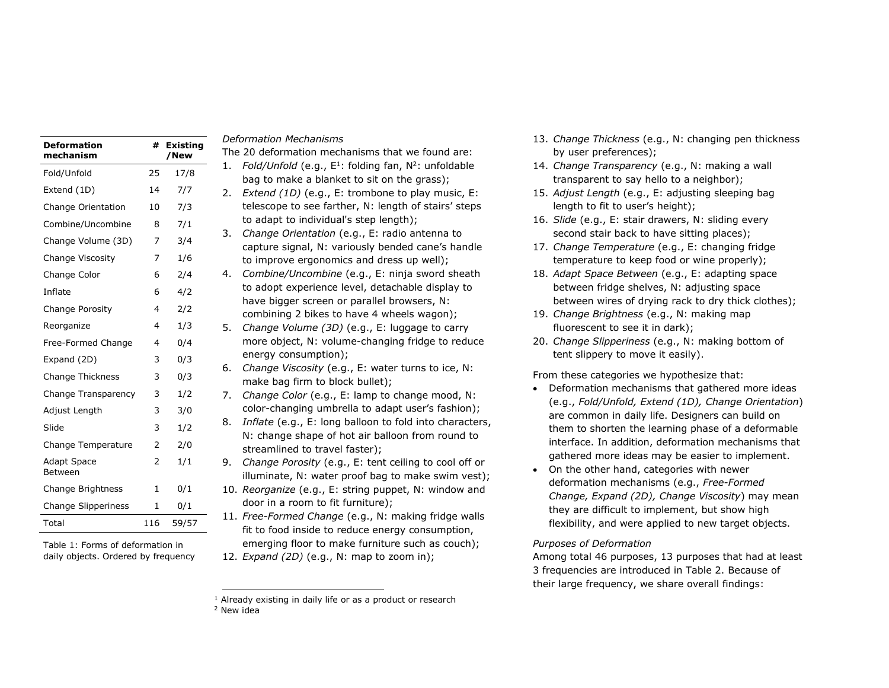| <b>Deformation</b><br>mechanism | #   | <b>Existing</b><br>/New |
|---------------------------------|-----|-------------------------|
| Fold/Unfold                     | 25  | 17/8                    |
| Extend (1D)                     | 14  | 7/7                     |
| Change Orientation              | 10  | 7/3                     |
| Combine/Uncombine               | 8   | 7/1                     |
| Change Volume (3D)              | 7   | 3/4                     |
| Change Viscosity                | 7   | 1/6                     |
| Change Color                    | 6   | 2/4                     |
| Inflate                         | 6   | 4/2                     |
| Change Porosity                 | 4   | 2/2                     |
| Reorganize                      | 4   | 1/3                     |
| Free-Formed Change              | 4   | 0/4                     |
| Expand (2D)                     | 3   | 0/3                     |
| <b>Change Thickness</b>         | 3   | 0/3                     |
| Change Transparency             | 3   | 1/2                     |
| Adjust Length                   | 3   | 3/0                     |
| Slide                           | 3   | 1/2                     |
| Change Temperature              | 2   | 2/0                     |
| Adapt Space<br><b>Between</b>   | 2   | 1/1                     |
| Change Brightness               | 1   | 0/1                     |
| <b>Change Slipperiness</b>      | 1   | 0/1                     |
| Total                           | 116 | 59/57                   |

Table 1: Forms of deformation in daily objects. Ordered by frequency

## *Deformation Mechanisms*

The 20 deformation mechanisms that we found are:

- 1. Fold/Unfold (e.g.,  $E^1$ : folding fan,  $N^2$ : unfoldable bag to make a blanket to sit on the grass); 2. *Extend (1D)* (e.g., E: trombone to play music, E: telescope to see farther, N: length of stairs' steps to adapt to individual's step length);
- 3. *Change Orientation* (e.g., E: radio antenna to capture signal, N: variously bended cane's handle to improve ergonomics and dress up well);
- 4. *Combine/Uncombine* (e.g., E: ninja sword sheath to adopt experience level, detachable display to have bigger screen or parallel browsers, N: combining 2 bikes to have 4 wheels wagon);
- 5. *Change Volume (3D)* (e.g., E: luggage to carry more object, N: volume-changing fridge to reduce energy consumption);
- 6. *Change Viscosity* (e.g., E: water turns to ice, N: make bag firm to block bullet);
- 7. *Change Color* (e.g., E: lamp to change mood, N: color-changing umbrella to adapt user's fashion);
- 8. *Inflate* (e.g., E: long balloon to fold into characters, N: change shape of hot air balloon from round to streamlined to travel faster);
- 9. *Change Porosity* (e.g., E: tent ceiling to cool off or illuminate, N: water proof bag to make swim vest);
- 10. *Reorganize* (e.g., E: string puppet, N: window and door in a room to fit furniture);
- 11. *Free-Formed Change* (e.g., N: making fridge walls fit to food inside to reduce energy consumption, emerging floor to make furniture such as couch);

12. *Expand (2D)* (e.g., N: map to zoom in);

<sup>2</sup> New idea

ł

- 13. *Change Thickness* (e.g., N: changing pen thickness by user preferences);
- 14. *Change Transparency* (e.g., N: making a wall transparent to say hello to a neighbor);
- 15. *Adjust Length* (e.g., E: adjusting sleeping bag length to fit to user's height);
- 16. *Slide* (e.g., E: stair drawers, N: sliding every second stair back to have sitting places);
- 17. *Change Temperature* (e.g., E: changing fridge temperature to keep food or wine properly);
- 18. *Adapt Space Between* (e.g., E: adapting space between fridge shelves, N: adjusting space between wires of drying rack to dry thick clothes);
- 19. *Change Brightness* (e.g., N: making map fluorescent to see it in dark);
- 20. *Change Slipperiness* (e.g., N: making bottom of tent slippery to move it easily).

From these categories we hypothesize that:

- Deformation mechanisms that gathered more ideas (e.g., *Fold/Unfold, Extend (1D), Change Orientation*) are common in daily life. Designers can build on them to shorten the learning phase of a deformable interface. In addition, deformation mechanisms that gathered more ideas may be easier to implement.
- On the other hand, categories with newer deformation mechanisms (e.g., *Free-Formed Change, Expand (2D), Change Viscosity*) may mean they are difficult to implement, but show high flexibility, and were applied to new target objects.

### *Purposes of Deformation*

Among total 46 purposes, 13 purposes that had at least 3 frequencies are introduced in Table 2. Because of their large frequency, we share overall findings:

<sup>&</sup>lt;sup>1</sup> Already existing in daily life or as a product or research